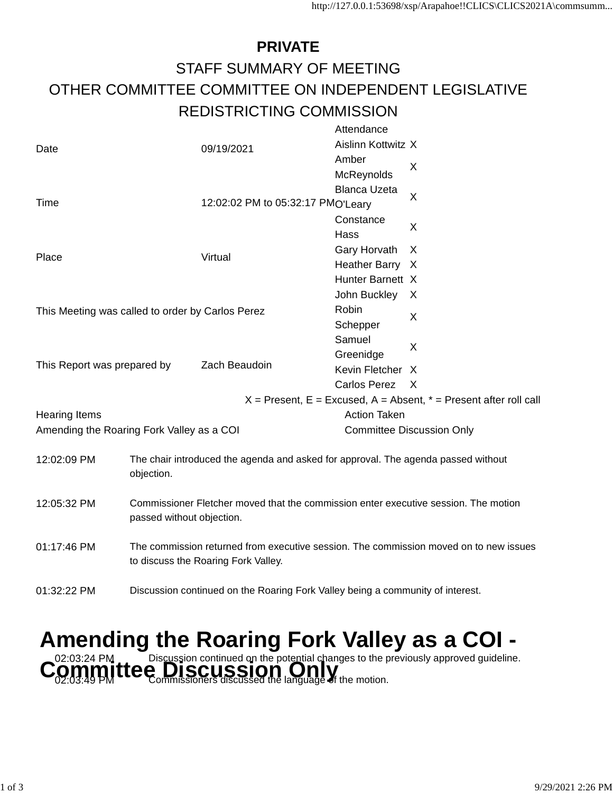## **PRIVATE** STAFF SUMMARY OF MEETING OTHER COMMITTEE COMMITTEE ON INDEPENDENT LEGISLATIVE REDISTRICTING COMMISSION

|                                                  |                                                                                                                              |                                   | Attendance                       |                                                                           |  |  |  |
|--------------------------------------------------|------------------------------------------------------------------------------------------------------------------------------|-----------------------------------|----------------------------------|---------------------------------------------------------------------------|--|--|--|
| Date                                             |                                                                                                                              | 09/19/2021                        | Aislinn Kottwitz X               |                                                                           |  |  |  |
|                                                  |                                                                                                                              |                                   | Amber                            | X                                                                         |  |  |  |
|                                                  |                                                                                                                              |                                   | McReynolds                       |                                                                           |  |  |  |
|                                                  |                                                                                                                              |                                   | <b>Blanca Uzeta</b>              | X                                                                         |  |  |  |
| Time                                             |                                                                                                                              | 12:02:02 PM to 05:32:17 PMO'Leary |                                  |                                                                           |  |  |  |
|                                                  |                                                                                                                              |                                   | Constance                        |                                                                           |  |  |  |
|                                                  |                                                                                                                              |                                   | Hass                             | X                                                                         |  |  |  |
| Place                                            |                                                                                                                              | Virtual                           | Gary Horvath                     | X                                                                         |  |  |  |
|                                                  |                                                                                                                              |                                   | <b>Heather Barry</b>             | - X                                                                       |  |  |  |
|                                                  |                                                                                                                              |                                   | Hunter Barnett X                 |                                                                           |  |  |  |
| This Meeting was called to order by Carlos Perez |                                                                                                                              |                                   | John Buckley                     | X                                                                         |  |  |  |
|                                                  |                                                                                                                              |                                   | Robin                            | X                                                                         |  |  |  |
|                                                  |                                                                                                                              |                                   | Schepper                         |                                                                           |  |  |  |
|                                                  |                                                                                                                              |                                   | Samuel                           | X                                                                         |  |  |  |
| This Report was prepared by                      |                                                                                                                              |                                   | Greenidge                        |                                                                           |  |  |  |
|                                                  |                                                                                                                              | Zach Beaudoin                     | Kevin Fletcher                   | X                                                                         |  |  |  |
|                                                  |                                                                                                                              |                                   | <b>Carlos Perez</b>              | X                                                                         |  |  |  |
|                                                  |                                                                                                                              |                                   |                                  | $X =$ Present, $E =$ Excused, $A =$ Absent, $* =$ Present after roll call |  |  |  |
| <b>Hearing Items</b>                             |                                                                                                                              |                                   | <b>Action Taken</b>              |                                                                           |  |  |  |
| Amending the Roaring Fork Valley as a COI        |                                                                                                                              |                                   | <b>Committee Discussion Only</b> |                                                                           |  |  |  |
|                                                  |                                                                                                                              |                                   |                                  |                                                                           |  |  |  |
| 12:02:09 PM                                      | The chair introduced the agenda and asked for approval. The agenda passed without                                            |                                   |                                  |                                                                           |  |  |  |
|                                                  | objection.                                                                                                                   |                                   |                                  |                                                                           |  |  |  |
|                                                  | Commissioner Fletcher moved that the commission enter executive session. The motion<br>passed without objection.             |                                   |                                  |                                                                           |  |  |  |
| 12:05:32 PM                                      |                                                                                                                              |                                   |                                  |                                                                           |  |  |  |
|                                                  |                                                                                                                              |                                   |                                  |                                                                           |  |  |  |
|                                                  | The commission returned from executive session. The commission moved on to new issues<br>to discuss the Roaring Fork Valley. |                                   |                                  |                                                                           |  |  |  |
| 01:17:46 PM                                      |                                                                                                                              |                                   |                                  |                                                                           |  |  |  |
|                                                  |                                                                                                                              |                                   |                                  |                                                                           |  |  |  |
|                                                  | 01:32:22 PM<br>Discussion continued on the Roaring Fork Valley being a community of interest.                                |                                   |                                  |                                                                           |  |  |  |
|                                                  |                                                                                                                              |                                   |                                  |                                                                           |  |  |  |

## **Amending the Roaring Fork Valley as a COI -** Committee Discussion continued on the potential changes to the previously approved guideline.<br>Committee Discussioners discussed the language of the motion.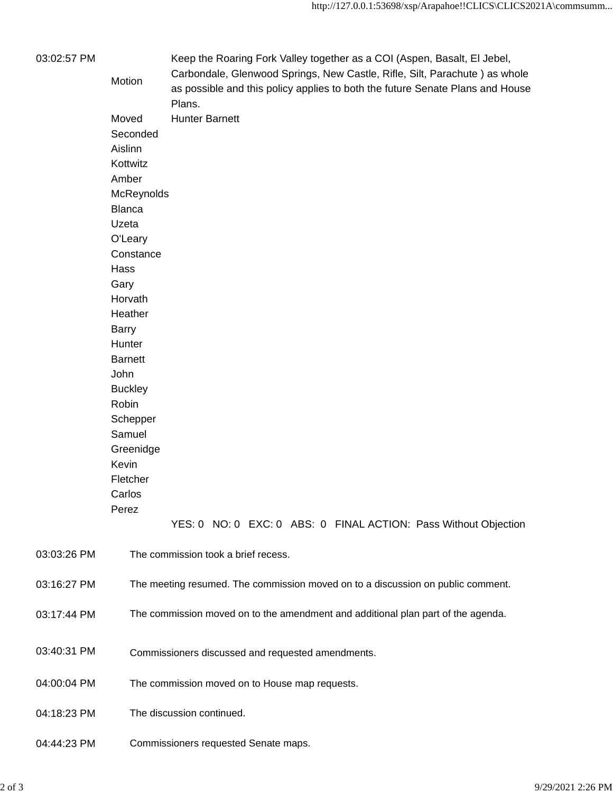| 03:02:57 PM | Motion         | Keep the Roaring Fork Valley together as a COI (Aspen, Basalt, EI Jebel,<br>Carbondale, Glenwood Springs, New Castle, Rifle, Silt, Parachute) as whole<br>as possible and this policy applies to both the future Senate Plans and House<br>Plans. |  |  |  |  |                                                                 |  |  |
|-------------|----------------|---------------------------------------------------------------------------------------------------------------------------------------------------------------------------------------------------------------------------------------------------|--|--|--|--|-----------------------------------------------------------------|--|--|
|             | Moved          | <b>Hunter Barnett</b>                                                                                                                                                                                                                             |  |  |  |  |                                                                 |  |  |
|             | Seconded       |                                                                                                                                                                                                                                                   |  |  |  |  |                                                                 |  |  |
|             | Aislinn        |                                                                                                                                                                                                                                                   |  |  |  |  |                                                                 |  |  |
|             | Kottwitz       |                                                                                                                                                                                                                                                   |  |  |  |  |                                                                 |  |  |
|             |                | Amber                                                                                                                                                                                                                                             |  |  |  |  |                                                                 |  |  |
|             |                |                                                                                                                                                                                                                                                   |  |  |  |  |                                                                 |  |  |
|             | McReynolds     |                                                                                                                                                                                                                                                   |  |  |  |  |                                                                 |  |  |
|             | <b>Blanca</b>  |                                                                                                                                                                                                                                                   |  |  |  |  |                                                                 |  |  |
|             | Uzeta          | O'Leary                                                                                                                                                                                                                                           |  |  |  |  |                                                                 |  |  |
|             |                |                                                                                                                                                                                                                                                   |  |  |  |  |                                                                 |  |  |
|             | Constance      |                                                                                                                                                                                                                                                   |  |  |  |  |                                                                 |  |  |
|             | Hass           |                                                                                                                                                                                                                                                   |  |  |  |  |                                                                 |  |  |
|             | Gary           | Horvath<br>Heather<br>Barry<br>Hunter<br><b>Barnett</b>                                                                                                                                                                                           |  |  |  |  |                                                                 |  |  |
|             |                |                                                                                                                                                                                                                                                   |  |  |  |  |                                                                 |  |  |
|             |                |                                                                                                                                                                                                                                                   |  |  |  |  |                                                                 |  |  |
|             |                |                                                                                                                                                                                                                                                   |  |  |  |  |                                                                 |  |  |
|             |                |                                                                                                                                                                                                                                                   |  |  |  |  |                                                                 |  |  |
|             |                |                                                                                                                                                                                                                                                   |  |  |  |  |                                                                 |  |  |
|             | John           |                                                                                                                                                                                                                                                   |  |  |  |  |                                                                 |  |  |
|             | <b>Buckley</b> |                                                                                                                                                                                                                                                   |  |  |  |  |                                                                 |  |  |
|             | Robin          |                                                                                                                                                                                                                                                   |  |  |  |  |                                                                 |  |  |
|             | Schepper       |                                                                                                                                                                                                                                                   |  |  |  |  |                                                                 |  |  |
|             | Samuel         |                                                                                                                                                                                                                                                   |  |  |  |  |                                                                 |  |  |
|             | Greenidge      |                                                                                                                                                                                                                                                   |  |  |  |  |                                                                 |  |  |
|             | Kevin          |                                                                                                                                                                                                                                                   |  |  |  |  |                                                                 |  |  |
|             | Fletcher       |                                                                                                                                                                                                                                                   |  |  |  |  |                                                                 |  |  |
|             | Carlos         |                                                                                                                                                                                                                                                   |  |  |  |  |                                                                 |  |  |
|             | Perez          |                                                                                                                                                                                                                                                   |  |  |  |  |                                                                 |  |  |
|             |                |                                                                                                                                                                                                                                                   |  |  |  |  | YES: 0 NO: 0 EXC: 0 ABS: 0 FINAL ACTION: Pass Without Objection |  |  |
| 03:03:26 PM |                | The commission took a brief recess.                                                                                                                                                                                                               |  |  |  |  |                                                                 |  |  |
| 03:16:27 PM |                | The meeting resumed. The commission moved on to a discussion on public comment.                                                                                                                                                                   |  |  |  |  |                                                                 |  |  |
| 03:17:44 PM |                | The commission moved on to the amendment and additional plan part of the agenda.                                                                                                                                                                  |  |  |  |  |                                                                 |  |  |
| 03:40:31 PM |                | Commissioners discussed and requested amendments.                                                                                                                                                                                                 |  |  |  |  |                                                                 |  |  |
| 04:00:04 PM |                | The commission moved on to House map requests.                                                                                                                                                                                                    |  |  |  |  |                                                                 |  |  |
| 04:18:23 PM |                | The discussion continued.                                                                                                                                                                                                                         |  |  |  |  |                                                                 |  |  |
| 04:44:23 PM |                | Commissioners requested Senate maps.                                                                                                                                                                                                              |  |  |  |  |                                                                 |  |  |